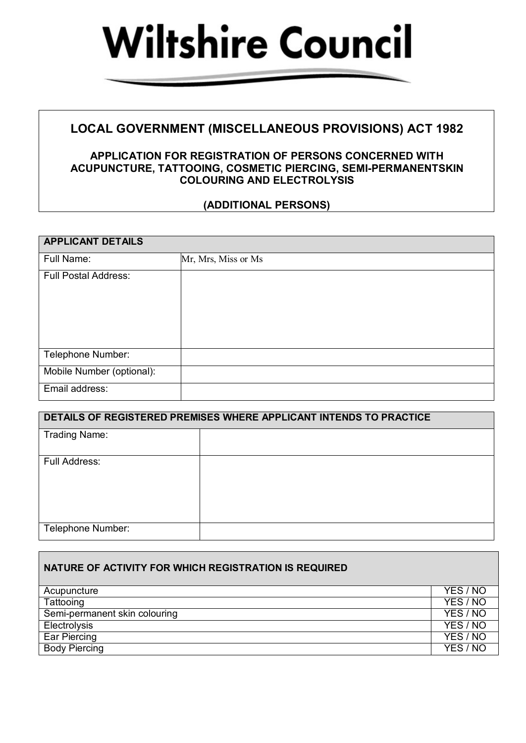

## **LOCAL GOVERNMENT (MISCELLANEOUS PROVISIONS) ACT 1982**

## **APPLICATION FOR REGISTRATION OF PERSONS CONCERNED WITH ACUPUNCTURE, TATTOOING, COSMETIC PIERCING, SEMI-PERMANENTSKIN COLOURING AND ELECTROLYSIS**

## **(ADDITIONAL PERSONS)**

| <b>APPLICANT DETAILS</b>    |                     |
|-----------------------------|---------------------|
| Full Name:                  | Mr, Mrs, Miss or Ms |
| <b>Full Postal Address:</b> |                     |
| Telephone Number:           |                     |
| Mobile Number (optional):   |                     |
| Email address:              |                     |

| DETAILS OF REGISTERED PREMISES WHERE APPLICANT INTENDS TO PRACTICE |  |  |
|--------------------------------------------------------------------|--|--|
| <b>Trading Name:</b>                                               |  |  |
| Full Address:                                                      |  |  |
| Telephone Number:                                                  |  |  |

| NATURE OF ACTIVITY FOR WHICH REGISTRATION IS REQUIRED |          |
|-------------------------------------------------------|----------|
| Acupuncture                                           | YES / NO |
| Tattooing                                             | YES / NO |
| Semi-permanent skin colouring                         | YES / NO |
| Electrolysis                                          | YES / NO |
| Ear Piercing                                          | YES / NO |
| <b>Body Piercing</b>                                  | YES / NO |